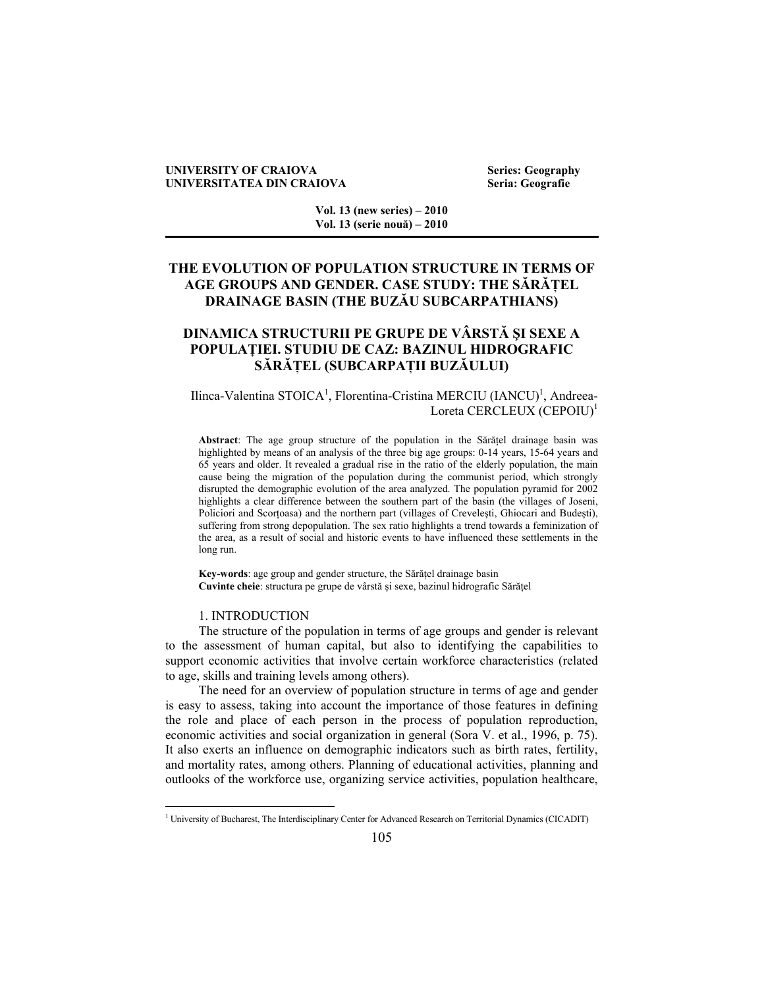#### **UNIVERSITY OF CRAIOVA** Series: Geography **UNIVERSITATEA DIN CRAIOVA Seria: Geografie**

**Vol. 13 (new series) – 2010 Vol. 13 (serie nouă) – 2010** 

# **THE EVOLUTION OF POPULATION STRUCTURE IN TERMS OF AGE GROUPS AND GENDER. CASE STUDY: THE SĂRĂŢEL DRAINAGE BASIN (THE BUZĂU SUBCARPATHIANS)**

# **DINAMICA STRUCTURII PE GRUPE DE VÂRSTĂ ŞI SEXE A POPULAŢIEI. STUDIU DE CAZ: BAZINUL HIDROGRAFIC SĂRĂŢEL (SUBCARPAŢII BUZĂULUI)**

## Ilinca-Valentina STOICA<sup>1</sup>, Florentina-Cristina MERCIU (IANCU)<sup>1</sup>, Andreea-Loreta CERCLEUX (CEPOIU)<sup>1</sup>

Abstract: The age group structure of the population in the Sărățel drainage basin was highlighted by means of an analysis of the three big age groups: 0-14 years, 15-64 years and 65 years and older. It revealed a gradual rise in the ratio of the elderly population, the main cause being the migration of the population during the communist period, which strongly disrupted the demographic evolution of the area analyzed. The population pyramid for 2002 highlights a clear difference between the southern part of the basin (the villages of Joseni, Policiori and Scortoasa) and the northern part (villages of Crevelești, Ghiocari and Budești), suffering from strong depopulation. The sex ratio highlights a trend towards a feminization of the area, as a result of social and historic events to have influenced these settlements in the long run.

Key-words: age group and gender structure, the Sărătel drainage basin **Cuvinte cheie**: structura pe grupe de vârstă şi sexe, bazinul hidrografic Sărăţel

## 1. INTRODUCTION

 $\overline{a}$ 

The structure of the population in terms of age groups and gender is relevant to the assessment of human capital, but also to identifying the capabilities to support economic activities that involve certain workforce characteristics (related to age, skills and training levels among others).

The need for an overview of population structure in terms of age and gender is easy to assess, taking into account the importance of those features in defining the role and place of each person in the process of population reproduction, economic activities and social organization in general (Sora V. et al., 1996, p. 75). It also exerts an influence on demographic indicators such as birth rates, fertility, and mortality rates, among others. Planning of educational activities, planning and outlooks of the workforce use, organizing service activities, population healthcare,

<sup>&</sup>lt;sup>1</sup> University of Bucharest, The Interdisciplinary Center for Advanced Research on Territorial Dynamics (CICADIT)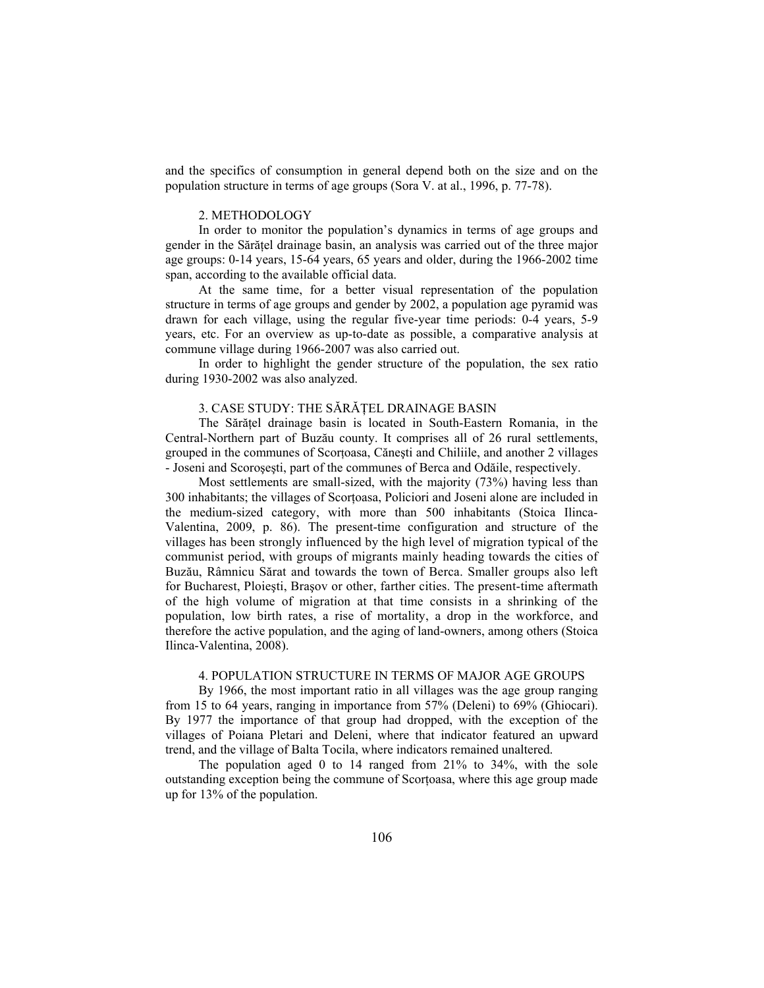and the specifics of consumption in general depend both on the size and on the population structure in terms of age groups (Sora V. at al., 1996, p. 77-78).

### 2. METHODOLOGY

In order to monitor the population's dynamics in terms of age groups and gender in the Sărăţel drainage basin, an analysis was carried out of the three major age groups: 0-14 years, 15-64 years, 65 years and older, during the 1966-2002 time span, according to the available official data.

At the same time, for a better visual representation of the population structure in terms of age groups and gender by 2002, a population age pyramid was drawn for each village, using the regular five-year time periods: 0-4 years, 5-9 years, etc. For an overview as up-to-date as possible, a comparative analysis at commune village during 1966-2007 was also carried out.

In order to highlight the gender structure of the population, the sex ratio during 1930-2002 was also analyzed.

### 3. CASE STUDY: THE SĂRĂŢEL DRAINAGE BASIN

The Sărățel drainage basin is located in South-Eastern Romania, in the Central-Northern part of Buzău county. It comprises all of 26 rural settlements, grouped in the communes of Scorţoasa, Căneşti and Chiliile, and another 2 villages - Joseni and Scoroşeşti, part of the communes of Berca and Odăile, respectively.

Most settlements are small-sized, with the majority (73%) having less than 300 inhabitants; the villages of Scortoasa, Policiori and Joseni alone are included in the medium-sized category, with more than 500 inhabitants (Stoica Ilinca-Valentina, 2009, p. 86). The present-time configuration and structure of the villages has been strongly influenced by the high level of migration typical of the communist period, with groups of migrants mainly heading towards the cities of Buzău, Râmnicu Sărat and towards the town of Berca. Smaller groups also left for Bucharest, Ploieşti, Braşov or other, farther cities. The present-time aftermath of the high volume of migration at that time consists in a shrinking of the population, low birth rates, a rise of mortality, a drop in the workforce, and therefore the active population, and the aging of land-owners, among others (Stoica Ilinca-Valentina, 2008).

## 4. POPULATION STRUCTURE IN TERMS OF MAJOR AGE GROUPS

By 1966, the most important ratio in all villages was the age group ranging from 15 to 64 years, ranging in importance from 57% (Deleni) to 69% (Ghiocari). By 1977 the importance of that group had dropped, with the exception of the villages of Poiana Pletari and Deleni, where that indicator featured an upward trend, and the village of Balta Tocila, where indicators remained unaltered.

The population aged 0 to 14 ranged from 21% to 34%, with the sole outstanding exception being the commune of Scorţoasa, where this age group made up for 13% of the population.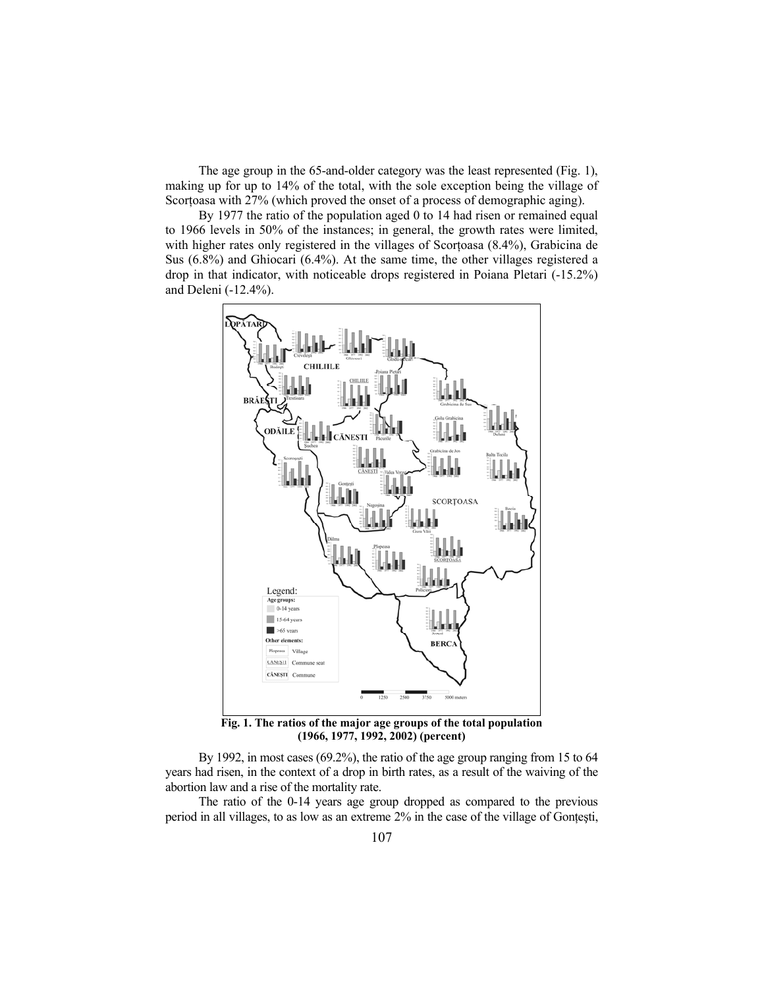The age group in the 65-and-older category was the least represented (Fig. 1), making up for up to 14% of the total, with the sole exception being the village of Scortoasa with 27% (which proved the onset of a process of demographic aging).

By 1977 the ratio of the population aged 0 to 14 had risen or remained equal to 1966 levels in 50% of the instances; in general, the growth rates were limited, with higher rates only registered in the villages of Scortoasa (8.4%), Grabicina de Sus (6.8%) and Ghiocari (6.4%). At the same time, the other villages registered a drop in that indicator, with noticeable drops registered in Poiana Pletari (-15.2%) and Deleni (-12.4%).



**Fig. 1. The ratios of the major age groups of the total population (1966, 1977, 1992, 2002) (percent)** 

By 1992, in most cases (69.2%), the ratio of the age group ranging from 15 to 64 years had risen, in the context of a drop in birth rates, as a result of the waiving of the abortion law and a rise of the mortality rate.

The ratio of the 0-14 years age group dropped as compared to the previous period in all villages, to as low as an extreme 2% in the case of the village of Gontesti,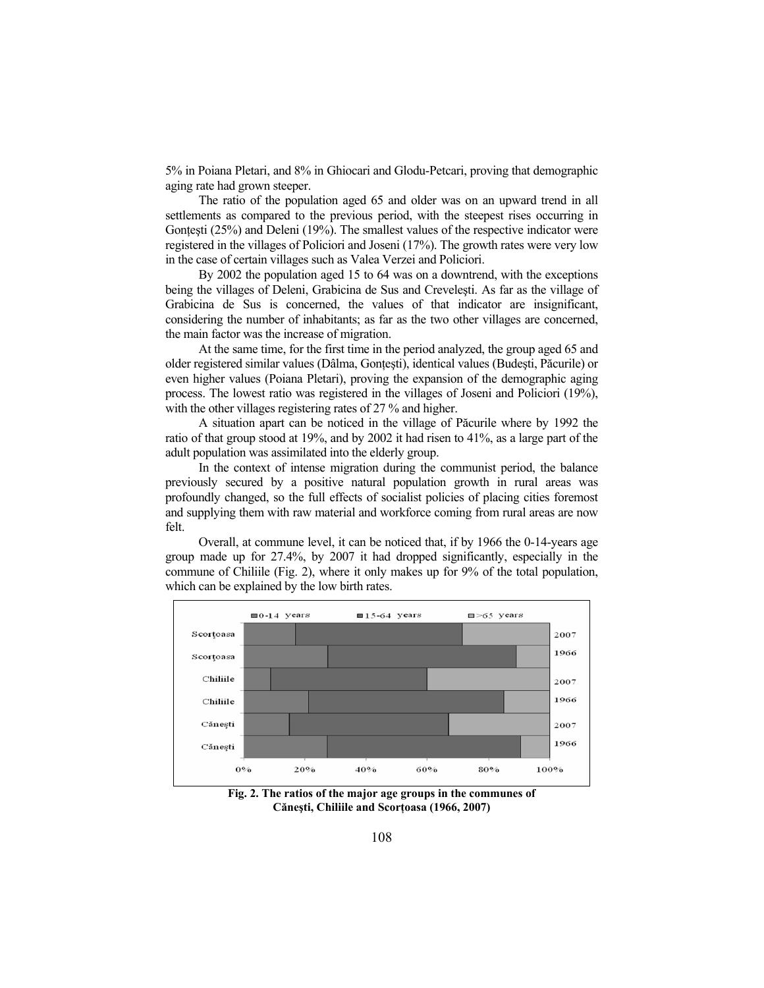5% in Poiana Pletari, and 8% in Ghiocari and Glodu-Petcari, proving that demographic aging rate had grown steeper.

The ratio of the population aged 65 and older was on an upward trend in all settlements as compared to the previous period, with the steepest rises occurring in Gontesti  $(25%)$  and Deleni  $(19%)$ . The smallest values of the respective indicator were registered in the villages of Policiori and Joseni (17%). The growth rates were very low in the case of certain villages such as Valea Verzei and Policiori.

By 2002 the population aged 15 to 64 was on a downtrend, with the exceptions being the villages of Deleni, Grabicina de Sus and Creveleşti. As far as the village of Grabicina de Sus is concerned, the values of that indicator are insignificant, considering the number of inhabitants; as far as the two other villages are concerned, the main factor was the increase of migration.

At the same time, for the first time in the period analyzed, the group aged 65 and older registered similar values (Dâlma, Gonţeşti), identical values (Budeşti, Păcurile) or even higher values (Poiana Pletari), proving the expansion of the demographic aging process. The lowest ratio was registered in the villages of Joseni and Policiori (19%), with the other villages registering rates of 27 % and higher.

A situation apart can be noticed in the village of Păcurile where by 1992 the ratio of that group stood at 19%, and by 2002 it had risen to 41%, as a large part of the adult population was assimilated into the elderly group.

In the context of intense migration during the communist period, the balance previously secured by a positive natural population growth in rural areas was profoundly changed, so the full effects of socialist policies of placing cities foremost and supplying them with raw material and workforce coming from rural areas are now felt.

Overall, at commune level, it can be noticed that, if by 1966 the 0-14-years age group made up for 27.4%, by 2007 it had dropped significantly, especially in the commune of Chiliile (Fig. 2), where it only makes up for 9% of the total population, which can be explained by the low birth rates.



**Fig. 2. The ratios of the major age groups in the communes of Căneşti, Chiliile and Scorţoasa (1966, 2007)**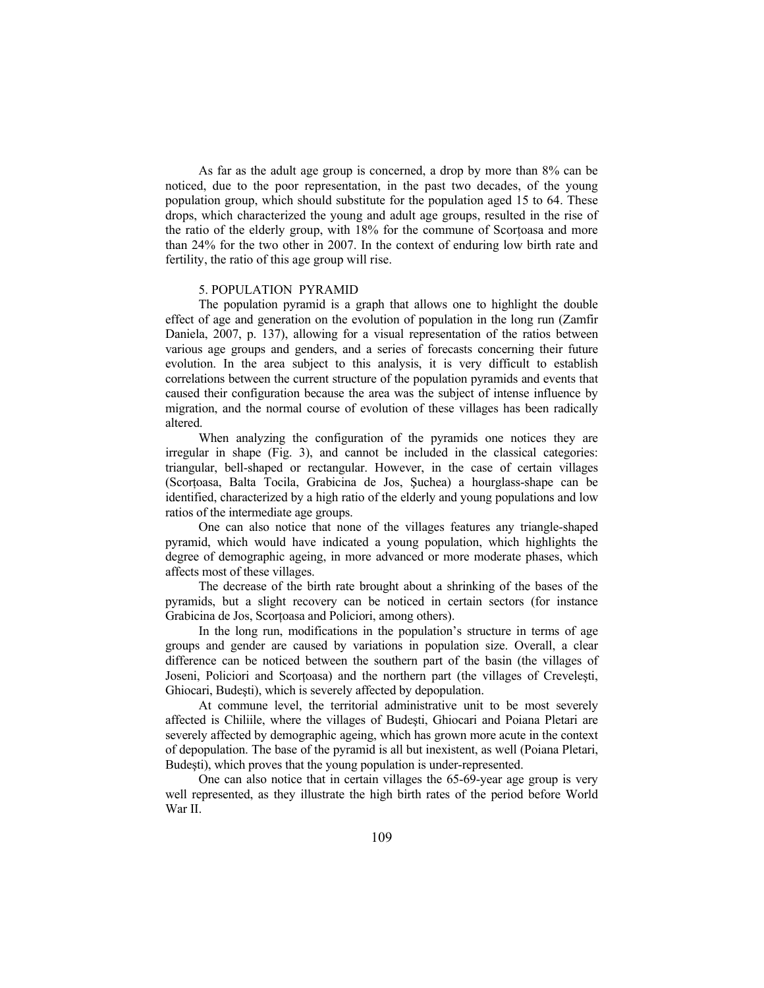As far as the adult age group is concerned, a drop by more than 8% can be noticed, due to the poor representation, in the past two decades, of the young population group, which should substitute for the population aged 15 to 64. These drops, which characterized the young and adult age groups, resulted in the rise of the ratio of the elderly group, with 18% for the commune of Scortoasa and more than 24% for the two other in 2007. In the context of enduring low birth rate and fertility, the ratio of this age group will rise.

#### 5. POPULATION PYRAMID

The population pyramid is a graph that allows one to highlight the double effect of age and generation on the evolution of population in the long run (Zamfir Daniela, 2007, p. 137), allowing for a visual representation of the ratios between various age groups and genders, and a series of forecasts concerning their future evolution. In the area subject to this analysis, it is very difficult to establish correlations between the current structure of the population pyramids and events that caused their configuration because the area was the subject of intense influence by migration, and the normal course of evolution of these villages has been radically altered.

When analyzing the configuration of the pyramids one notices they are irregular in shape (Fig. 3), and cannot be included in the classical categories: triangular, bell-shaped or rectangular. However, in the case of certain villages (Scorţoasa, Balta Tocila, Grabicina de Jos, Şuchea) a hourglass-shape can be identified, characterized by a high ratio of the elderly and young populations and low ratios of the intermediate age groups.

One can also notice that none of the villages features any triangle-shaped pyramid, which would have indicated a young population, which highlights the degree of demographic ageing, in more advanced or more moderate phases, which affects most of these villages.

The decrease of the birth rate brought about a shrinking of the bases of the pyramids, but a slight recovery can be noticed in certain sectors (for instance Grabicina de Jos, Scortoasa and Policiori, among others).

In the long run, modifications in the population's structure in terms of age groups and gender are caused by variations in population size. Overall, a clear difference can be noticed between the southern part of the basin (the villages of Joseni, Policiori and Scorţoasa) and the northern part (the villages of Creveleşti, Ghiocari, Budeşti), which is severely affected by depopulation.

At commune level, the territorial administrative unit to be most severely affected is Chiliile, where the villages of Budeşti, Ghiocari and Poiana Pletari are severely affected by demographic ageing, which has grown more acute in the context of depopulation. The base of the pyramid is all but inexistent, as well (Poiana Pletari, Budeşti), which proves that the young population is under-represented.

One can also notice that in certain villages the 65-69-year age group is very well represented, as they illustrate the high birth rates of the period before World War II.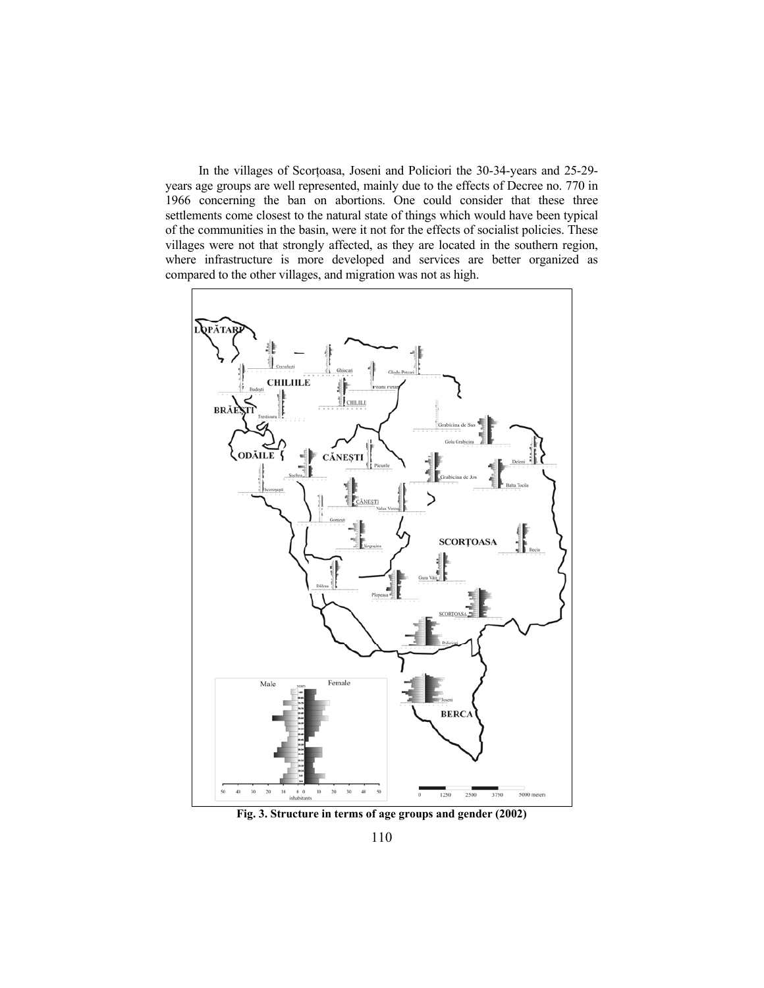In the villages of Scorţoasa, Joseni and Policiori the 30-34-years and 25-29 years age groups are well represented, mainly due to the effects of Decree no. 770 in 1966 concerning the ban on abortions. One could consider that these three settlements come closest to the natural state of things which would have been typical of the communities in the basin, were it not for the effects of socialist policies. These villages were not that strongly affected, as they are located in the southern region, where infrastructure is more developed and services are better organized as compared to the other villages, and migration was not as high.



**Fig. 3. Structure in terms of age groups and gender (2002)**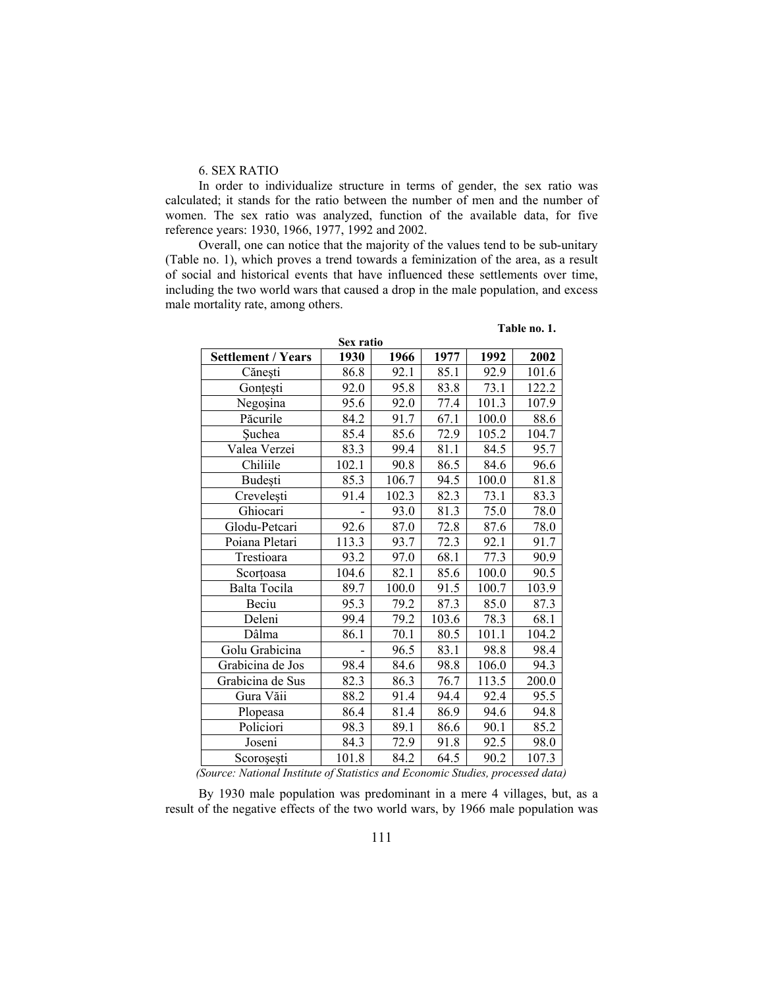## 6. SEX RATIO

In order to individualize structure in terms of gender, the sex ratio was calculated; it stands for the ratio between the number of men and the number of women. The sex ratio was analyzed, function of the available data, for five reference years: 1930, 1966, 1977, 1992 and 2002.

Overall, one can notice that the majority of the values tend to be sub-unitary (Table no. 1), which proves a trend towards a feminization of the area, as a result of social and historical events that have influenced these settlements over time, including the two world wars that caused a drop in the male population, and excess male mortality rate, among others.

| Sex ratio                 |       |       |       |       |       |
|---------------------------|-------|-------|-------|-------|-------|
| <b>Settlement / Years</b> | 1930  | 1966  | 1977  | 1992  | 2002  |
| Cănești                   | 86.8  | 92.1  | 85.1  | 92.9  | 101.6 |
| Gonțești                  | 92.0  | 95.8  | 83.8  | 73.1  | 122.2 |
| Negoșina                  | 95.6  | 92.0  | 77.4  | 101.3 | 107.9 |
| Păcurile                  | 84.2  | 91.7  | 67.1  | 100.0 | 88.6  |
| <b>Suchea</b>             | 85.4  | 85.6  | 72.9  | 105.2 | 104.7 |
| Valea Verzei              | 83.3  | 99.4  | 81.1  | 84.5  | 95.7  |
| Chiliile                  | 102.1 | 90.8  | 86.5  | 84.6  | 96.6  |
| Budești                   | 85.3  | 106.7 | 94.5  | 100.0 | 81.8  |
| Crevelești                | 91.4  | 102.3 | 82.3  | 73.1  | 83.3  |
| Ghiocari                  |       | 93.0  | 81.3  | 75.0  | 78.0  |
| Glodu-Petcari             | 92.6  | 87.0  | 72.8  | 87.6  | 78.0  |
| Poiana Pletari            | 113.3 | 93.7  | 72.3  | 92.1  | 91.7  |
| Trestioara                | 93.2  | 97.0  | 68.1  | 77.3  | 90.9  |
| Scortoasa                 | 104.6 | 82.1  | 85.6  | 100.0 | 90.5  |
| Balta Tocila              | 89.7  | 100.0 | 91.5  | 100.7 | 103.9 |
| Beciu                     | 95.3  | 79.2  | 87.3  | 85.0  | 87.3  |
| Deleni                    | 99.4  | 79.2  | 103.6 | 78.3  | 68.1  |
| Dâlma                     | 86.1  | 70.1  | 80.5  | 101.1 | 104.2 |
| Golu Grabicina            |       | 96.5  | 83.1  | 98.8  | 98.4  |
| Grabicina de Jos          | 98.4  | 84.6  | 98.8  | 106.0 | 94.3  |
| Grabicina de Sus          | 82.3  | 86.3  | 76.7  | 113.5 | 200.0 |
| Gura Văii                 | 88.2  | 91.4  | 94.4  | 92.4  | 95.5  |
| Plopeasa                  | 86.4  | 81.4  | 86.9  | 94.6  | 94.8  |
| Policiori                 | 98.3  | 89.1  | 86.6  | 90.1  | 85.2  |
| Joseni                    | 84.3  | 72.9  | 91.8  | 92.5  | 98.0  |
| Scorosesti                | 101.8 | 84.2  | 64.5  | 90.2  | 107.3 |

**Table no. 1.** 

 *(Source: National Institute of Statistics and Economic Studies, processed data)* 

By 1930 male population was predominant in a mere 4 villages, but, as a result of the negative effects of the two world wars, by 1966 male population was